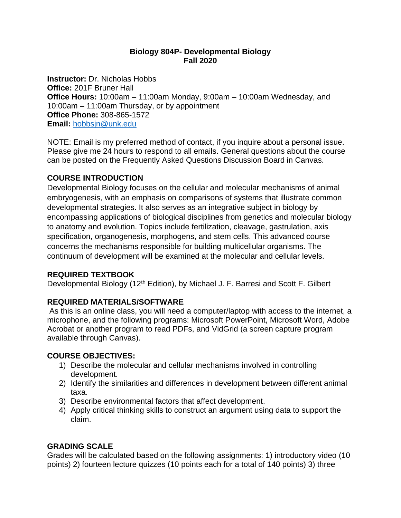### **Biology 804P- Developmental Biology Fall 2020**

**Instructor:** Dr. Nicholas Hobbs **Office:** 201F Bruner Hall **Office Hours:** 10:00am – 11:00am Monday, 9:00am – 10:00am Wednesday, and 10:00am – 11:00am Thursday, or by appointment **Office Phone:** 308-865-1572 **Email:** [hobbsjn@unk.edu](mailto:hobbsjn@unk.edu)

NOTE: Email is my preferred method of contact, if you inquire about a personal issue. Please give me 24 hours to respond to all emails. General questions about the course can be posted on the Frequently Asked Questions Discussion Board in Canvas.

## **COURSE INTRODUCTION**

Developmental Biology focuses on the cellular and molecular mechanisms of animal embryogenesis, with an emphasis on comparisons of systems that illustrate common developmental strategies. It also serves as an integrative subject in biology by encompassing applications of biological disciplines from genetics and molecular biology to anatomy and evolution. Topics include fertilization, cleavage, gastrulation, axis specification, organogenesis, morphogens, and stem cells. This advanced course concerns the mechanisms responsible for building multicellular organisms. The continuum of development will be examined at the molecular and cellular levels.

## **REQUIRED TEXTBOOK**

Developmental Biology (12<sup>th</sup> Edition), by Michael J. F. Barresi and Scott F. Gilbert

## **REQUIRED MATERIALS/SOFTWARE**

As this is an online class, you will need a computer/laptop with access to the internet, a microphone, and the following programs: Microsoft PowerPoint, Microsoft Word, Adobe Acrobat or another program to read PDFs, and VidGrid (a screen capture program available through Canvas).

## **COURSE OBJECTIVES:**

- 1) Describe the molecular and cellular mechanisms involved in controlling development.
- 2) Identify the similarities and differences in development between different animal taxa.
- 3) Describe environmental factors that affect development.
- 4) Apply critical thinking skills to construct an argument using data to support the claim.

## **GRADING SCALE**

Grades will be calculated based on the following assignments: 1) introductory video (10 points) 2) fourteen lecture quizzes (10 points each for a total of 140 points) 3) three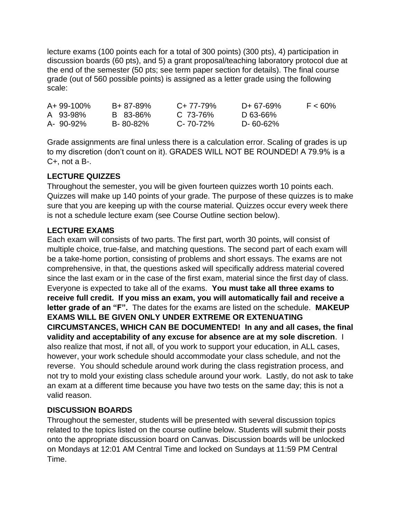lecture exams (100 points each for a total of 300 points) (300 pts), 4) participation in discussion boards (60 pts), and 5) a grant proposal/teaching laboratory protocol due at the end of the semester (50 pts; see term paper section for details). The final course grade (out of 560 possible points) is assigned as a letter grade using the following scale:

| $A + 99 - 100\%$ | B+ 87-89% | $C+77-79%$     | D+ 67-69% | $F < 60\%$ |
|------------------|-----------|----------------|-----------|------------|
| A 93-98%         | B 83-86%  | $C.73-76%$     | D 63-66%  |            |
| A- 90-92%        | B-80-82%  | $C - 70 - 72%$ | D-60-62%  |            |

Grade assignments are final unless there is a calculation error. Scaling of grades is up to my discretion (don't count on it). GRADES WILL NOT BE ROUNDED! A 79.9% is a C+, not a B-.

# **LECTURE QUIZZES**

Throughout the semester, you will be given fourteen quizzes worth 10 points each. Quizzes will make up 140 points of your grade. The purpose of these quizzes is to make sure that you are keeping up with the course material. Quizzes occur every week there is not a schedule lecture exam (see Course Outline section below).

## **LECTURE EXAMS**

Each exam will consists of two parts. The first part, worth 30 points, will consist of multiple choice, true-false, and matching questions. The second part of each exam will be a take-home portion, consisting of problems and short essays. The exams are not comprehensive, in that, the questions asked will specifically address material covered since the last exam or in the case of the first exam, material since the first day of class. Everyone is expected to take all of the exams. **You must take all three exams to receive full credit. If you miss an exam, you will automatically fail and receive a letter grade of an "F".** The dates for the exams are listed on the schedule. **MAKEUP EXAMS WILL BE GIVEN ONLY UNDER EXTREME OR EXTENUATING CIRCUMSTANCES, WHICH CAN BE DOCUMENTED! In any and all cases, the final validity and acceptability of any excuse for absence are at my sole discretion**. I also realize that most, if not all, of you work to support your education, in ALL cases, however, your work schedule should accommodate your class schedule, and not the reverse. You should schedule around work during the class registration process, and not try to mold your existing class schedule around your work. Lastly, do not ask to take an exam at a different time because you have two tests on the same day; this is not a valid reason.

## **DISCUSSION BOARDS**

Throughout the semester, students will be presented with several discussion topics related to the topics listed on the course outline below. Students will submit their posts onto the appropriate discussion board on Canvas. Discussion boards will be unlocked on Mondays at 12:01 AM Central Time and locked on Sundays at 11:59 PM Central Time.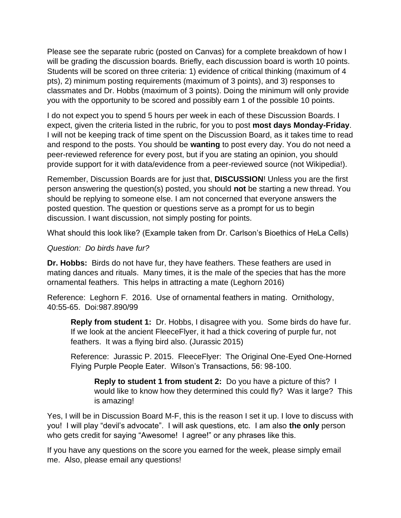Please see the separate rubric (posted on Canvas) for a complete breakdown of how I will be grading the discussion boards. Briefly, each discussion board is worth 10 points. Students will be scored on three criteria: 1) evidence of critical thinking (maximum of 4 pts), 2) minimum posting requirements (maximum of 3 points), and 3) responses to classmates and Dr. Hobbs (maximum of 3 points). Doing the minimum will only provide you with the opportunity to be scored and possibly earn 1 of the possible 10 points.

I do not expect you to spend 5 hours per week in each of these Discussion Boards. I expect, given the criteria listed in the rubric, for you to post **most days Monday-Friday**. I will not be keeping track of time spent on the Discussion Board, as it takes time to read and respond to the posts. You should be **wanting** to post every day. You do not need a peer-reviewed reference for every post, but if you are stating an opinion, you should provide support for it with data/evidence from a peer-reviewed source (not Wikipedia!).

Remember, Discussion Boards are for just that, **DISCUSSION**! Unless you are the first person answering the question(s) posted, you should **not** be starting a new thread. You should be replying to someone else. I am not concerned that everyone answers the posted question. The question or questions serve as a prompt for us to begin discussion. I want discussion, not simply posting for points.

What should this look like? (Example taken from Dr. Carlson's Bioethics of HeLa Cells)

### *Question: Do birds have fur?*

**Dr. Hobbs:** Birds do not have fur, they have feathers. These feathers are used in mating dances and rituals. Many times, it is the male of the species that has the more ornamental feathers. This helps in attracting a mate (Leghorn 2016)

Reference: Leghorn F. 2016. Use of ornamental feathers in mating. Ornithology, 40:55-65. Doi:987.890/99

**Reply from student 1:** Dr. Hobbs, I disagree with you. Some birds do have fur. If we look at the ancient FleeceFlyer, it had a thick covering of purple fur, not feathers. It was a flying bird also. (Jurassic 2015)

Reference: Jurassic P. 2015. FleeceFlyer: The Original One-Eyed One-Horned Flying Purple People Eater. Wilson's Transactions, 56: 98-100.

**Reply to student 1 from student 2:** Do you have a picture of this? I would like to know how they determined this could fly? Was it large? This is amazing!

Yes, I will be in Discussion Board M-F, this is the reason I set it up. I love to discuss with you! I will play "devil's advocate". I will ask questions, etc. I am also **the only** person who gets credit for saying "Awesome! I agree!" or any phrases like this.

If you have any questions on the score you earned for the week, please simply email me. Also, please email any questions!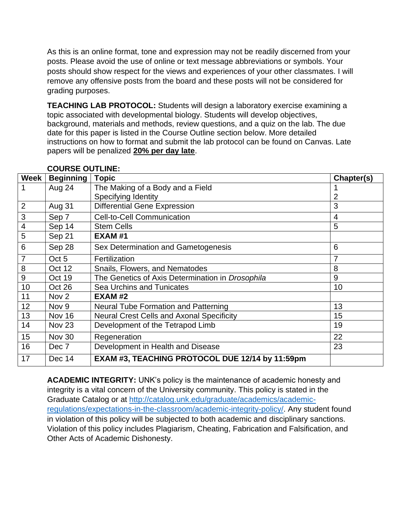As this is an online format, tone and expression may not be readily discerned from your posts. Please avoid the use of online or text message abbreviations or symbols. Your posts should show respect for the views and experiences of your other classmates. I will remove any offensive posts from the board and these posts will not be considered for grading purposes.

**TEACHING LAB PROTOCOL:** Students will design a laboratory exercise examining a topic associated with developmental biology. Students will develop objectives, background, materials and methods, review questions, and a quiz on the lab. The due date for this paper is listed in the Course Outline section below. More detailed instructions on how to format and submit the lab protocol can be found on Canvas. Late papers will be penalized **20% per day late**.

| Week                    | <b>Beginning</b> | <b>Topic</b>                                     | Chapter(s) |
|-------------------------|------------------|--------------------------------------------------|------------|
| 1                       | Aug 24           | The Making of a Body and a Field                 |            |
|                         |                  | Specifying Identity                              | 2          |
| $\overline{2}$          | Aug 31           | <b>Differential Gene Expression</b>              | 3          |
| 3                       | Sep 7            | <b>Cell-to-Cell Communication</b>                | 4          |
| $\overline{\mathbf{4}}$ | Sep 14           | <b>Stem Cells</b>                                | 5          |
| 5                       | Sep 21           | <b>EXAM #1</b>                                   |            |
| 6                       | Sep 28           | Sex Determination and Gametogenesis              | 6          |
| 7                       | Oct 5            | Fertilization                                    | 7          |
| 8                       | Oct 12           | Snails, Flowers, and Nematodes                   | 8          |
| 9                       | Oct 19           | The Genetics of Axis Determination in Drosophila | 9          |
| 10                      | Oct 26           | Sea Urchins and Tunicates                        | 10         |
| 11                      | Nov <sub>2</sub> | <b>EXAM #2</b>                                   |            |
| 12                      | Nov <sub>9</sub> | <b>Neural Tube Formation and Patterning</b>      | 13         |
| 13                      | Nov 16           | <b>Neural Crest Cells and Axonal Specificity</b> | 15         |
| 14                      | <b>Nov 23</b>    | Development of the Tetrapod Limb                 | 19         |
| 15                      | Nov 30           | Regeneration                                     | 22         |
| 16                      | Dec 7            | Development in Health and Disease                | 23         |
| 17                      | Dec 14           | EXAM #3, TEACHING PROTOCOL DUE 12/14 by 11:59pm  |            |

## **COURSE OUTLINE:**

**ACADEMIC INTEGRITY:** UNK's policy is the maintenance of academic honesty and integrity is a vital concern of the University community. This policy is stated in the Graduate Catalog or at [http://catalog.unk.edu/graduate/academics/academic](http://catalog.unk.edu/graduate/academics/academic-regulations/expectations-in-the-classroom/academic-integrity-policy/)[regulations/expectations-in-the-classroom/academic-integrity-policy/.](http://catalog.unk.edu/graduate/academics/academic-regulations/expectations-in-the-classroom/academic-integrity-policy/) Any student found in violation of this policy will be subjected to both academic and disciplinary sanctions. Violation of this policy includes Plagiarism, Cheating, Fabrication and Falsification, and Other Acts of Academic Dishonesty.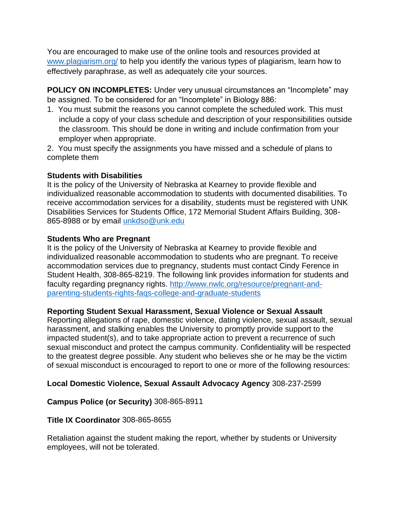You are encouraged to make use of the online tools and resources provided at [www.plagiarism.org/](http://www.plagiarism.org/) to help you identify the various types of plagiarism, learn how to effectively paraphrase, as well as adequately cite your sources.

**POLICY ON INCOMPLETES:** Under very unusual circumstances an "Incomplete" may be assigned. To be considered for an "Incomplete" in Biology 886:

- 1. You must submit the reasons you cannot complete the scheduled work. This must include a copy of your class schedule and description of your responsibilities outside the classroom. This should be done in writing and include confirmation from your employer when appropriate.
- 2. You must specify the assignments you have missed and a schedule of plans to complete them

### **Students with Disabilities**

It is the policy of the University of Nebraska at Kearney to provide flexible and individualized reasonable accommodation to students with documented disabilities. To receive accommodation services for a disability, students must be registered with UNK Disabilities Services for Students Office, 172 Memorial Student Affairs Building, 308- 865-8988 or by email [unkdso@unk.edu](mailto:unkdso@unk.edu)

### **Students Who are Pregnant**

It is the policy of the University of Nebraska at Kearney to provide flexible and individualized reasonable accommodation to students who are pregnant. To receive accommodation services due to pregnancy, students must contact Cindy Ference in Student Health, 308-865-8219. The following link provides information for students and faculty regarding pregnancy rights. [http://www.nwlc.org/resource/pregnant-and](https://urldefense.proofpoint.com/v2/url?u=http-3A__www.nwlc.org_resource_pregnant-2Dand-2Dparenting-2Dstudents-2Drights-2Dfaqs-2Dcollege-2Dand-2Dgraduate-2Dstudents&d=DwMFAg&c=Cu5g146wZdoqVuKpTNsYHeFX_rg6kWhlkLF8Eft-wwo&r=BJkIhAaMtWY7PlqIhIOyVw&m=RgBL3s2VNHfvD5ReMK2q_PhwYU8dbEt1vxs1BO4WkpQ&s=MmB91XAzaW-E7UPMXPGx9tWJQbTWJYyYzM8gLjhEzQ0&e=)[parenting-students-rights-faqs-college-and-graduate-students](https://urldefense.proofpoint.com/v2/url?u=http-3A__www.nwlc.org_resource_pregnant-2Dand-2Dparenting-2Dstudents-2Drights-2Dfaqs-2Dcollege-2Dand-2Dgraduate-2Dstudents&d=DwMFAg&c=Cu5g146wZdoqVuKpTNsYHeFX_rg6kWhlkLF8Eft-wwo&r=BJkIhAaMtWY7PlqIhIOyVw&m=RgBL3s2VNHfvD5ReMK2q_PhwYU8dbEt1vxs1BO4WkpQ&s=MmB91XAzaW-E7UPMXPGx9tWJQbTWJYyYzM8gLjhEzQ0&e=)

## **Reporting Student Sexual Harassment, Sexual Violence or Sexual Assault**

Reporting allegations of rape, domestic violence, dating violence, sexual assault, sexual harassment, and stalking enables the University to promptly provide support to the impacted student(s), and to take appropriate action to prevent a recurrence of such sexual misconduct and protect the campus community. Confidentiality will be respected to the greatest degree possible. Any student who believes she or he may be the victim of sexual misconduct is encouraged to report to one or more of the following resources:

## **Local Domestic Violence, Sexual Assault Advocacy Agency** 308-237-2599

## **Campus Police (or Security)** 308-865-8911

#### **Title IX Coordinator** 308-865-8655

Retaliation against the student making the report, whether by students or University employees, will not be tolerated.